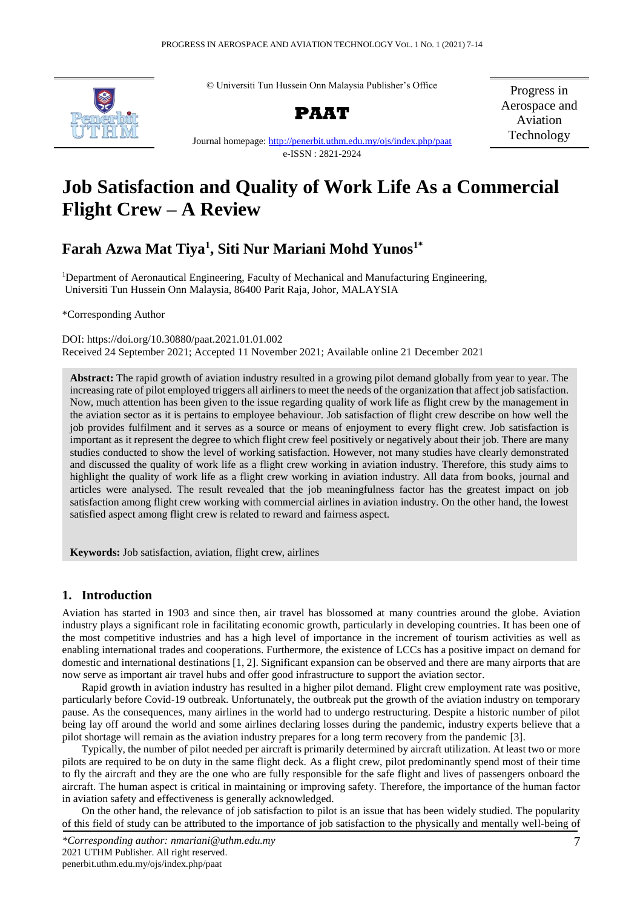© Universiti Tun Hussein Onn Malaysia Publisher's Office



**PAAT**

Progress in Aerospace and Aviation Technology

Journal homepage: [http://penerbit.uthm.edu.my/ojs/index.php/p](http://penerbit.uthm.edu.my/ojs/index.php/)aat e-ISSN : 2821-2924

# **Job Satisfaction and Quality of Work Life As a Commercial Flight Crew – A Review**

# **Farah Azwa Mat Tiya<sup>1</sup> , Siti Nur Mariani Mohd Yunos1\***

<sup>1</sup>Department of Aeronautical Engineering, Faculty of Mechanical and Manufacturing Engineering, Universiti Tun Hussein Onn Malaysia, 86400 Parit Raja, Johor, MALAYSIA

\*Corresponding Author

DOI: https://doi.org/10.30880/paat.2021.01.01.002 Received 24 September 2021; Accepted 11 November 2021; Available online 21 December 2021

**Abstract:** The rapid growth of aviation industry resulted in a growing pilot demand globally from year to year. The increasing rate of pilot employed triggers all airliners to meet the needs of the organization that affect job satisfaction. Now, much attention has been given to the issue regarding quality of work life as flight crew by the management in the aviation sector as it is pertains to employee behaviour. Job satisfaction of flight crew describe on how well the job provides fulfilment and it serves as a source or means of enjoyment to every flight crew. Job satisfaction is important as it represent the degree to which flight crew feel positively or negatively about their job. There are many studies conducted to show the level of working satisfaction. However, not many studies have clearly demonstrated and discussed the quality of work life as a flight crew working in aviation industry. Therefore, this study aims to highlight the quality of work life as a flight crew working in aviation industry. All data from books, journal and articles were analysed. The result revealed that the job meaningfulness factor has the greatest impact on job satisfaction among flight crew working with commercial airlines in aviation industry. On the other hand, the lowest satisfied aspect among flight crew is related to reward and fairness aspect.

**Keywords:** Job satisfaction, aviation, flight crew, airlines

# **1. Introduction**

Aviation has started in 1903 and since then, air travel has blossomed at many countries around the globe. Aviation industry plays a significant role in facilitating economic growth, particularly in developing countries. It has been one of the most competitive industries and has a high level of importance in the increment of tourism activities as well as enabling international trades and cooperations. Furthermore, the existence of LCCs has a positive impact on demand for domestic and international destinations [1, 2]. Significant expansion can be observed and there are many airports that are now serve as important air travel hubs and offer good infrastructure to support the aviation sector.

Rapid growth in aviation industry has resulted in a higher pilot demand. Flight crew employment rate was positive, particularly before Covid-19 outbreak. Unfortunately, the outbreak put the growth of the aviation industry on temporary pause. As the consequences, many airlines in the world had to undergo restructuring. Despite a historic number of pilot being lay off around the world and some airlines declaring losses during the pandemic, industry experts believe that a pilot shortage will remain as the aviation industry prepares for a long term recovery from the pandemic [3].

Typically, the number of pilot needed per aircraft is primarily determined by aircraft utilization. At least two or more pilots are required to be on duty in the same flight deck. As a flight crew, pilot predominantly spend most of their time to fly the aircraft and they are the one who are fully responsible for the safe flight and lives of passengers onboard the aircraft. The human aspect is critical in maintaining or improving safety. Therefore, the importance of the human factor in aviation safety and effectiveness is generally acknowledged.

On the other hand, the relevance of job satisfaction to pilot is an issue that has been widely studied. The popularity of this field of study can be attributed to the importance of job satisfaction to the physically and mentally well-being of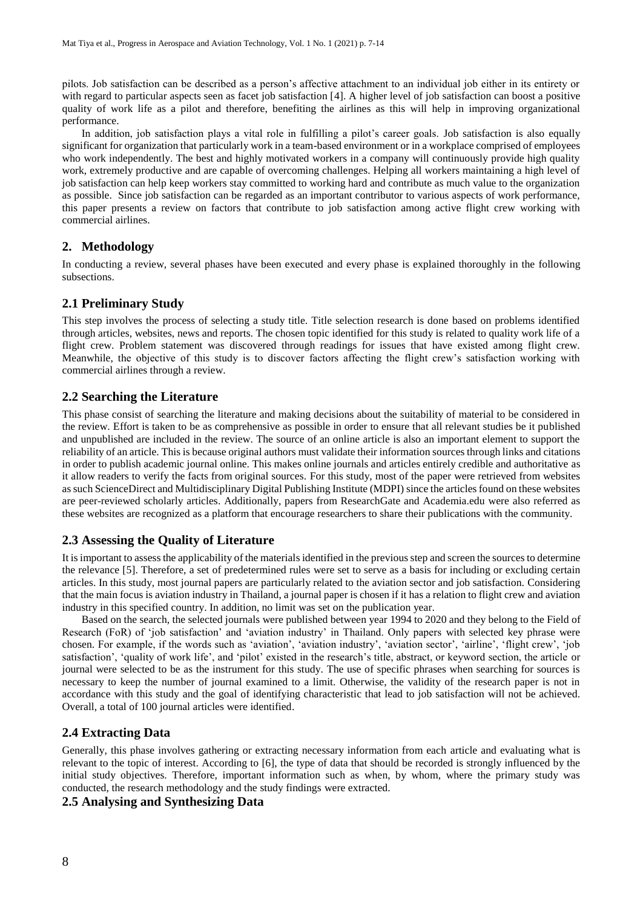pilots. Job satisfaction can be described as a person's affective attachment to an individual job either in its entirety or with regard to particular aspects seen as facet job satisfaction [4]. A higher level of job satisfaction can boost a positive quality of work life as a pilot and therefore, benefiting the airlines as this will help in improving organizational performance.

In addition, job satisfaction plays a vital role in fulfilling a pilot's career goals. Job satisfaction is also equally significant for organization that particularly work in a team-based environment or in a workplace comprised of employees who work independently. The best and highly motivated workers in a company will continuously provide high quality work, extremely productive and are capable of overcoming challenges. Helping all workers maintaining a high level of job satisfaction can help keep workers stay committed to working hard and contribute as much value to the organization as possible. Since job satisfaction can be regarded as an important contributor to various aspects of work performance, this paper presents a review on factors that contribute to job satisfaction among active flight crew working with commercial airlines.

# **2. Methodology**

In conducting a review, several phases have been executed and every phase is explained thoroughly in the following subsections.

# **2.1 Preliminary Study**

This step involves the process of selecting a study title. Title selection research is done based on problems identified through articles, websites, news and reports. The chosen topic identified for this study is related to quality work life of a flight crew. Problem statement was discovered through readings for issues that have existed among flight crew. Meanwhile, the objective of this study is to discover factors affecting the flight crew's satisfaction working with commercial airlines through a review.

### **2.2 Searching the Literature**

This phase consist of searching the literature and making decisions about the suitability of material to be considered in the review. Effort is taken to be as comprehensive as possible in order to ensure that all relevant studies be it published and unpublished are included in the review. The source of an online article is also an important element to support the reliability of an article. This is because original authors must validate their information sources through links and citations in order to publish academic journal online. This makes online journals and articles entirely credible and authoritative as it allow readers to verify the facts from original sources. For this study, most of the paper were retrieved from websites as such ScienceDirect and Multidisciplinary Digital Publishing Institute (MDPI) since the articles found on these websites are peer-reviewed scholarly articles. Additionally, papers from ResearchGate and Academia.edu were also referred as these websites are recognized as a platform that encourage researchers to share their publications with the community.

# **2.3 Assessing the Quality of Literature**

It is important to assess the applicability of the materialsidentified in the previous step and screen the sources to determine the relevance [5]. Therefore, a set of predetermined rules were set to serve as a basis for including or excluding certain articles. In this study, most journal papers are particularly related to the aviation sector and job satisfaction. Considering that the main focus is aviation industry in Thailand, a journal paper is chosen if it has a relation to flight crew and aviation industry in this specified country. In addition, no limit was set on the publication year.

Based on the search, the selected journals were published between year 1994 to 2020 and they belong to the Field of Research (FoR) of 'job satisfaction' and 'aviation industry' in Thailand. Only papers with selected key phrase were chosen. For example, if the words such as 'aviation', 'aviation industry', 'aviation sector', 'airline', 'flight crew', 'job satisfaction', 'quality of work life', and 'pilot' existed in the research's title, abstract, or keyword section, the article or journal were selected to be as the instrument for this study. The use of specific phrases when searching for sources is necessary to keep the number of journal examined to a limit. Otherwise, the validity of the research paper is not in accordance with this study and the goal of identifying characteristic that lead to job satisfaction will not be achieved. Overall, a total of 100 journal articles were identified.

### **2.4 Extracting Data**

Generally, this phase involves gathering or extracting necessary information from each article and evaluating what is relevant to the topic of interest. According to [6], the type of data that should be recorded is strongly influenced by the initial study objectives. Therefore, important information such as when, by whom, where the primary study was conducted, the research methodology and the study findings were extracted.

### **2.5 Analysing and Synthesizing Data**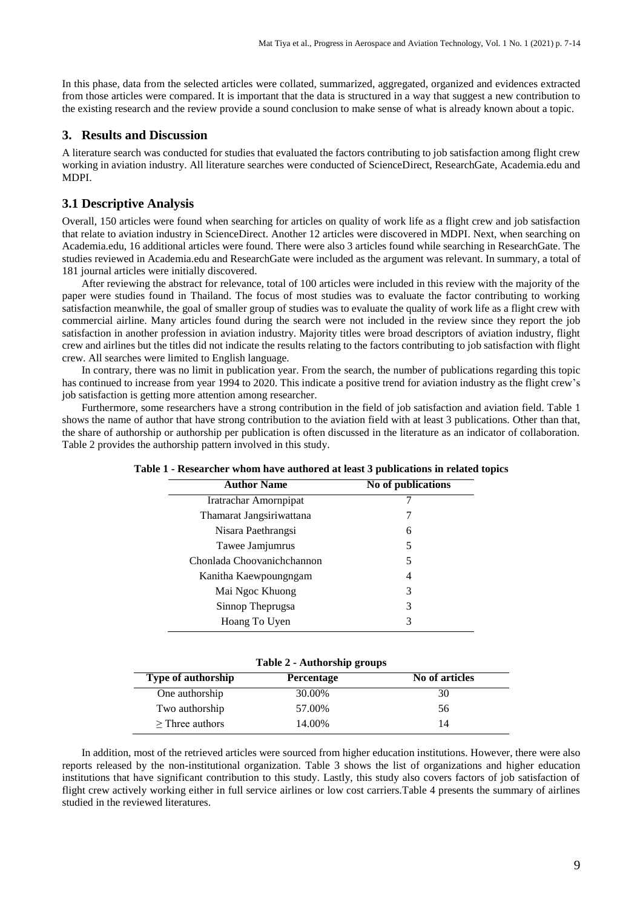In this phase, data from the selected articles were collated, summarized, aggregated, organized and evidences extracted from those articles were compared. It is important that the data is structured in a way that suggest a new contribution to the existing research and the review provide a sound conclusion to make sense of what is already known about a topic.

# **3. Results and Discussion**

A literature search was conducted for studies that evaluated the factors contributing to job satisfaction among flight crew working in aviation industry. All literature searches were conducted of ScienceDirect, ResearchGate, Academia.edu and MDPI.

# **3.1 Descriptive Analysis**

Overall, 150 articles were found when searching for articles on quality of work life as a flight crew and job satisfaction that relate to aviation industry in ScienceDirect. Another 12 articles were discovered in MDPI. Next, when searching on Academia.edu, 16 additional articles were found. There were also 3 articles found while searching in ResearchGate. The studies reviewed in Academia.edu and ResearchGate were included as the argument was relevant. In summary, a total of 181 journal articles were initially discovered.

After reviewing the abstract for relevance, total of 100 articles were included in this review with the majority of the paper were studies found in Thailand. The focus of most studies was to evaluate the factor contributing to working satisfaction meanwhile, the goal of smaller group of studies was to evaluate the quality of work life as a flight crew with commercial airline. Many articles found during the search were not included in the review since they report the job satisfaction in another profession in aviation industry. Majority titles were broad descriptors of aviation industry, flight crew and airlines but the titles did not indicate the results relating to the factors contributing to job satisfaction with flight crew. All searches were limited to English language.

In contrary, there was no limit in publication year. From the search, the number of publications regarding this topic has continued to increase from year 1994 to 2020. This indicate a positive trend for aviation industry as the flight crew's job satisfaction is getting more attention among researcher.

Furthermore, some researchers have a strong contribution in the field of job satisfaction and aviation field. Table 1 shows the name of author that have strong contribution to the aviation field with at least 3 publications. Other than that, the share of authorship or authorship per publication is often discussed in the literature as an indicator of collaboration. Table 2 provides the authorship pattern involved in this study.

| <b>Author Name</b>         | No of publications |
|----------------------------|--------------------|
| Iratrachar Amornpipat      |                    |
| Thamarat Jangsiriwattana   |                    |
| Nisara Paethrangsi         | 6                  |
| Tawee Jamjumrus            | 5                  |
| Chonlada Choovanichchannon | 5                  |
| Kanitha Kaewpoungngam      | 4                  |
| Mai Ngoc Khuong            | 3                  |
| Sinnop Theprugsa           | 3                  |
| Hoang To Uyen              | 3                  |
|                            |                    |

**Table 1 - Researcher whom have authored at least 3 publications in related topics**

|  | Table 2 - Authorship groups |  |
|--|-----------------------------|--|
|--|-----------------------------|--|

| <b>Type of authorship</b> | <b>Percentage</b> | No of articles |
|---------------------------|-------------------|----------------|
| One authorship            | 30.00%            | 30             |
| Two authorship            | 57.00%            | 56             |
| $\geq$ Three authors      | 14.00%            | 14             |

In addition, most of the retrieved articles were sourced from higher education institutions. However, there were also reports released by the non-institutional organization. Table 3 shows the list of organizations and higher education institutions that have significant contribution to this study. Lastly, this study also covers factors of job satisfaction of flight crew actively working either in full service airlines or low cost carriers.Table 4 presents the summary of airlines studied in the reviewed literatures.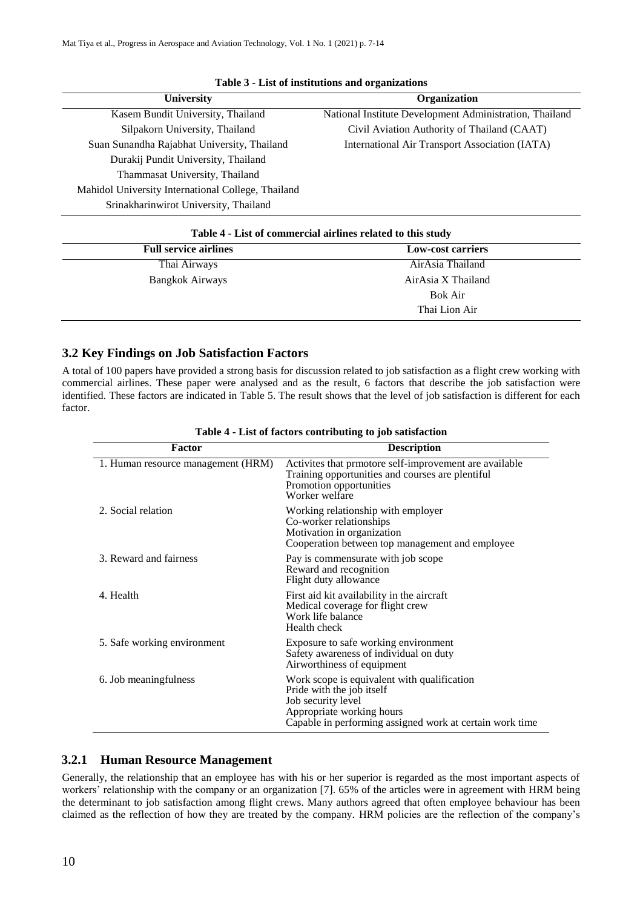| <b>University</b>                                  | Organization                                            |
|----------------------------------------------------|---------------------------------------------------------|
| Kasem Bundit University, Thailand                  | National Institute Development Administration, Thailand |
| Silpakorn University, Thailand                     | Civil Aviation Authority of Thailand (CAAT)             |
| Suan Sunandha Rajabhat University, Thailand        | International Air Transport Association (IATA)          |
| Durakij Pundit University, Thailand                |                                                         |
| Thammasat University, Thailand                     |                                                         |
| Mahidol University International College, Thailand |                                                         |
| Srinakharinwirot University, Thailand              |                                                         |

|  |  |  |  | Table 3 - List of institutions and organizations |
|--|--|--|--|--------------------------------------------------|
|--|--|--|--|--------------------------------------------------|

| Table 4 - List of commercial airlines related to this study |                          |  |
|-------------------------------------------------------------|--------------------------|--|
| <b>Full service airlines</b>                                | <b>Low-cost carriers</b> |  |
| Thai Airways                                                | AirAsia Thailand         |  |
| Bangkok Airways                                             | AirAsia X Thailand       |  |
|                                                             | Bok Air                  |  |
|                                                             | Thai Lion Air            |  |

# **3.2 Key Findings on Job Satisfaction Factors** A total of 100 papers have provided a strong basis for discussion related to job satisfaction as a flight crew working with

commercial airlines. These paper were analysed and as the result, 6 factors that describe the job satisfaction were identified. These factors are indicated in Table 5. The result shows that the level of job satisfaction is different for each factor.

| Factor                             | <b>Description</b>                                                                                                                                                                      |
|------------------------------------|-----------------------------------------------------------------------------------------------------------------------------------------------------------------------------------------|
| 1. Human resource management (HRM) | Activities that prmotore self-improvement are available<br>Training opportunities and courses are plentiful<br>Promotion opportunities<br>Worker welfare                                |
| 2. Social relation                 | Working relationship with employer<br>Co-worker relationships<br>Motivation in organization<br>Cooperation between top management and employee                                          |
| 3. Reward and fairness             | Pay is commensurate with job scope<br>Reward and recognition<br>Flight duty allowance                                                                                                   |
| 4. Health                          | First aid kit availability in the aircraft<br>Medical coverage for flight crew<br>Work life balance<br>Health check                                                                     |
| 5. Safe working environment        | Exposure to safe working environment<br>Safety awareness of individual on duty<br>Airworthiness of equipment                                                                            |
| 6. Job meaningfulness              | Work scope is equivalent with qualification<br>Pride with the job itself<br>Job security level<br>Appropriate working hours<br>Capable in performing assigned work at certain work time |

**Table 4 - List of factors contributing to job satisfaction**

# **3.2.1 Human Resource Management**

Generally, the relationship that an employee has with his or her superior is regarded as the most important aspects of workers' relationship with the company or an organization [7]. 65% of the articles were in agreement with HRM being the determinant to job satisfaction among flight crews. Many authors agreed that often employee behaviour has been claimed as the reflection of how they are treated by the company. HRM policies are the reflection of the company's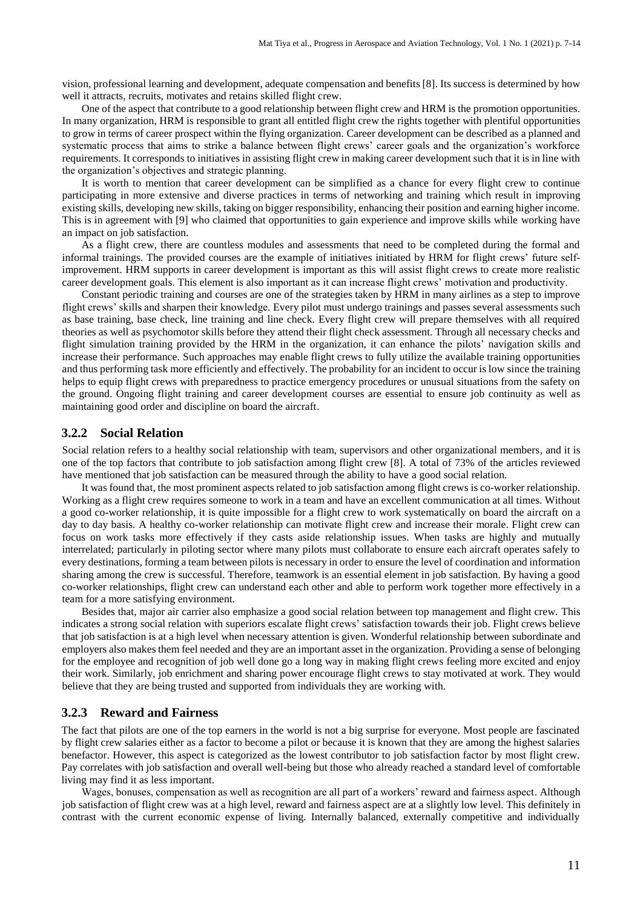vision, professional learning and development, adequate compensation and benefits [8]. Its success is determined by how well it attracts, recruits, motivates and retains skilled flight crew.

One of the aspect that contribute to a good relationship between flight crew and HRM is the promotion opportunities. In many organization, HRM is responsible to grant all entitled flight crew the rights together with plentiful opportunities to grow in terms of career prospect within the flying organization. Career development can be described as a planned and systematic process that aims to strike a balance between flight crews' career goals and the organization's workforce requirements. It corresponds to initiatives in assisting flight crew in making career development such that it is in line with the organization's objectives and strategic planning.

It is worth to mention that career development can be simplified as a chance for every flight crew to continue participating in more extensive and diverse practices in terms of networking and training which result in improving existing skills, developing new skills, taking on bigger responsibility, enhancing their position and earning higher income. This is in agreement with [9] who claimed that opportunities to gain experience and improve skills while working have an impact on job satisfaction.

As a flight crew, there are countless modules and assessments that need to be completed during the formal and informal trainings. The provided courses are the example of initiatives initiated by HRM for flight crews' future selfimprovement. HRM supports in career development is important as this will assist flight crews to create more realistic career development goals. This element is also important as it can increase flight crews' motivation and productivity.

Constant periodic training and courses are one of the strategies taken by HRM in many airlines as a step to improve flight crews' skills and sharpen their knowledge. Every pilot must undergo trainings and passes several assessments such as base training, base check, line training and line check. Every flight crew will prepare themselves with all required theories as well as psychomotor skills before they attend their flight check assessment. Through all necessary checks and flight simulation training provided by the HRM in the organization, it can enhance the pilots' navigation skills and increase their performance. Such approaches may enable flight crews to fully utilize the available training opportunities and thus performing task more efficiently and effectively. The probability for an incident to occur is low since the training helps to equip flight crews with preparedness to practice emergency procedures or unusual situations from the safety on the ground. Ongoing flight training and career development courses are essential to ensure job continuity as well as maintaining good order and discipline on board the aircraft.

### **3.2.2 Social Relation**

Social relation refers to a healthy social relationship with team, supervisors and other organizational members, and it is one of the top factors that contribute to job satisfaction among flight crew [8]. A total of 73% of the articles reviewed have mentioned that job satisfaction can be measured through the ability to have a good social relation.

It was found that, the most prominent aspects related to job satisfaction among flight crews is co-worker relationship. Working as a flight crew requires someone to work in a team and have an excellent communication at all times. Without a good co-worker relationship, it is quite impossible for a flight crew to work systematically on board the aircraft on a day to day basis. A healthy co-worker relationship can motivate flight crew and increase their morale. Flight crew can focus on work tasks more effectively if they casts aside relationship issues. When tasks are highly and mutually interrelated; particularly in piloting sector where many pilots must collaborate to ensure each aircraft operates safely to every destinations, forming a team between pilots is necessary in order to ensure the level of coordination and information sharing among the crew is successful. Therefore, teamwork is an essential element in job satisfaction. By having a good co-worker relationships, flight crew can understand each other and able to perform work together more effectively in a team for a more satisfying environment.

Besides that, major air carrier also emphasize a good social relation between top management and flight crew. This indicates a strong social relation with superiors escalate flight crews' satisfaction towards their job. Flight crews believe that job satisfaction is at a high level when necessary attention is given. Wonderful relationship between subordinate and employers also makes them feel needed and they are an important asset in the organization. Providing a sense of belonging for the employee and recognition of job well done go a long way in making flight crews feeling more excited and enjoy their work. Similarly, job enrichment and sharing power encourage flight crews to stay motivated at work. They would believe that they are being trusted and supported from individuals they are working with.

# **3.2.3 Reward and Fairness**

The fact that pilots are one of the top earners in the world is not a big surprise for everyone. Most people are fascinated by flight crew salaries either as a factor to become a pilot or because it is known that they are among the highest salaries benefactor. However, this aspect is categorized as the lowest contributor to job satisfaction factor by most flight crew. Pay correlates with job satisfaction and overall well-being but those who already reached a standard level of comfortable living may find it as less important.

Wages, bonuses, compensation as well as recognition are all part of a workers' reward and fairness aspect. Although job satisfaction of flight crew was at a high level, reward and fairness aspect are at a slightly low level. This definitely in contrast with the current economic expense of living. Internally balanced, externally competitive and individually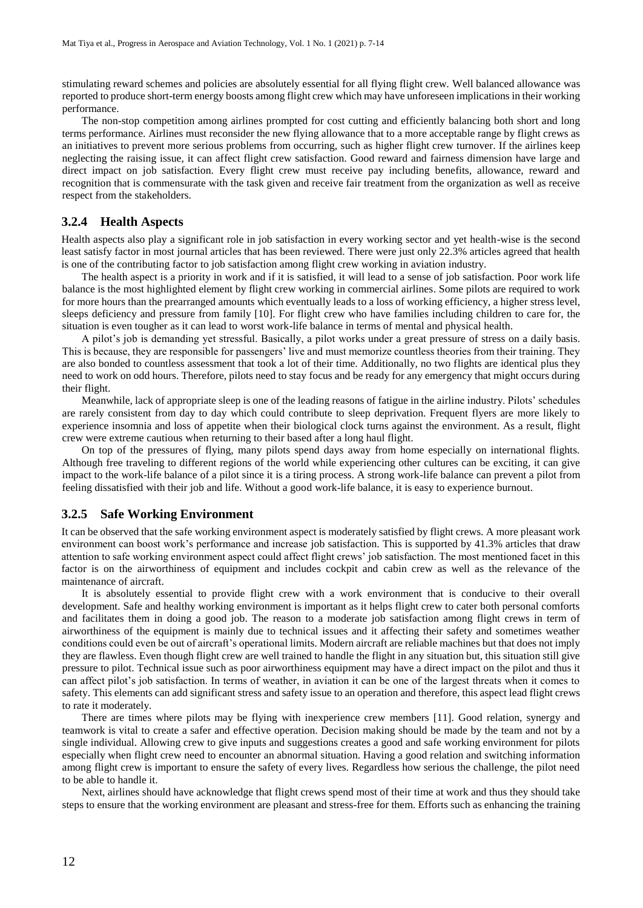stimulating reward schemes and policies are absolutely essential for all flying flight crew. Well balanced allowance was reported to produce short-term energy boosts among flight crew which may have unforeseen implications in their working performance.

The non-stop competition among airlines prompted for cost cutting and efficiently balancing both short and long terms performance. Airlines must reconsider the new flying allowance that to a more acceptable range by flight crews as an initiatives to prevent more serious problems from occurring, such as higher flight crew turnover. If the airlines keep neglecting the raising issue, it can affect flight crew satisfaction. Good reward and fairness dimension have large and direct impact on job satisfaction. Every flight crew must receive pay including benefits, allowance, reward and recognition that is commensurate with the task given and receive fair treatment from the organization as well as receive respect from the stakeholders.

### **3.2.4 Health Aspects**

Health aspects also play a significant role in job satisfaction in every working sector and yet health-wise is the second least satisfy factor in most journal articles that has been reviewed. There were just only 22.3% articles agreed that health is one of the contributing factor to job satisfaction among flight crew working in aviation industry.

The health aspect is a priority in work and if it is satisfied, it will lead to a sense of job satisfaction. Poor work life balance is the most highlighted element by flight crew working in commercial airlines. Some pilots are required to work for more hours than the prearranged amounts which eventually leads to a loss of working efficiency, a higher stress level, sleeps deficiency and pressure from family [10]. For flight crew who have families including children to care for, the situation is even tougher as it can lead to worst work-life balance in terms of mental and physical health.

A pilot's job is demanding yet stressful. Basically, a pilot works under a great pressure of stress on a daily basis. This is because, they are responsible for passengers' live and must memorize countless theories from their training. They are also bonded to countless assessment that took a lot of their time. Additionally, no two flights are identical plus they need to work on odd hours. Therefore, pilots need to stay focus and be ready for any emergency that might occurs during their flight.

Meanwhile, lack of appropriate sleep is one of the leading reasons of fatigue in the airline industry. Pilots' schedules are rarely consistent from day to day which could contribute to sleep deprivation. Frequent flyers are more likely to experience insomnia and loss of appetite when their biological clock turns against the environment. As a result, flight crew were extreme cautious when returning to their based after a long haul flight.

On top of the pressures of flying, many pilots spend days away from home especially on international flights. Although free traveling to different regions of the world while experiencing other cultures can be exciting, it can give impact to the work-life balance of a pilot since it is a tiring process. A strong work-life balance can prevent a pilot from feeling dissatisfied with their job and life. Without a good work-life balance, it is easy to experience burnout.

### **3.2.5 Safe Working Environment**

It can be observed that the safe working environment aspect is moderately satisfied by flight crews. A more pleasant work environment can boost work's performance and increase job satisfaction. This is supported by 41.3% articles that draw attention to safe working environment aspect could affect flight crews' job satisfaction. The most mentioned facet in this factor is on the airworthiness of equipment and includes cockpit and cabin crew as well as the relevance of the maintenance of aircraft.

It is absolutely essential to provide flight crew with a work environment that is conducive to their overall development. Safe and healthy working environment is important as it helps flight crew to cater both personal comforts and facilitates them in doing a good job. The reason to a moderate job satisfaction among flight crews in term of airworthiness of the equipment is mainly due to technical issues and it affecting their safety and sometimes weather conditions could even be out of aircraft's operational limits. Modern aircraft are reliable machines but that does not imply they are flawless. Even though flight crew are well trained to handle the flight in any situation but, this situation still give pressure to pilot. Technical issue such as poor airworthiness equipment may have a direct impact on the pilot and thus it can affect pilot's job satisfaction. In terms of weather, in aviation it can be one of the largest threats when it comes to safety. This elements can add significant stress and safety issue to an operation and therefore, this aspect lead flight crews to rate it moderately.

There are times where pilots may be flying with inexperience crew members [11]. Good relation, synergy and teamwork is vital to create a safer and effective operation. Decision making should be made by the team and not by a single individual. Allowing crew to give inputs and suggestions creates a good and safe working environment for pilots especially when flight crew need to encounter an abnormal situation. Having a good relation and switching information among flight crew is important to ensure the safety of every lives. Regardless how serious the challenge, the pilot need to be able to handle it.

Next, airlines should have acknowledge that flight crews spend most of their time at work and thus they should take steps to ensure that the working environment are pleasant and stress-free for them. Efforts such as enhancing the training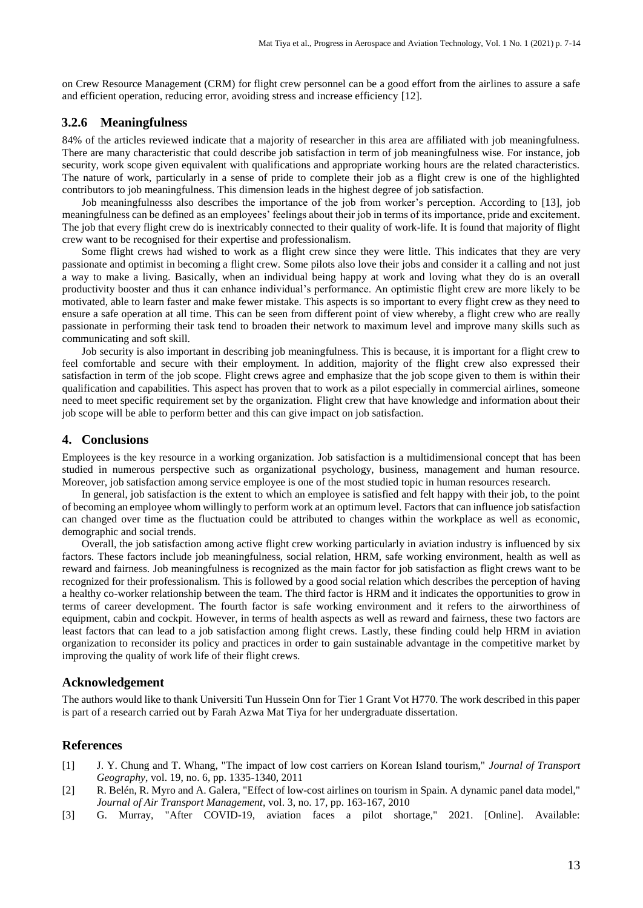on Crew Resource Management (CRM) for flight crew personnel can be a good effort from the airlines to assure a safe and efficient operation, reducing error, avoiding stress and increase efficiency [12].

### **3.2.6 Meaningfulness**

84% of the articles reviewed indicate that a majority of researcher in this area are affiliated with job meaningfulness. There are many characteristic that could describe job satisfaction in term of job meaningfulness wise. For instance, job security, work scope given equivalent with qualifications and appropriate working hours are the related characteristics. The nature of work, particularly in a sense of pride to complete their job as a flight crew is one of the highlighted contributors to job meaningfulness. This dimension leads in the highest degree of job satisfaction.

Job meaningfulnesss also describes the importance of the job from worker's perception. According to [13], job meaningfulness can be defined as an employees' feelings about their job in terms of its importance, pride and excitement. The job that every flight crew do is inextricably connected to their quality of work-life. It is found that majority of flight crew want to be recognised for their expertise and professionalism.

Some flight crews had wished to work as a flight crew since they were little. This indicates that they are very passionate and optimist in becoming a flight crew. Some pilots also love their jobs and consider it a calling and not just a way to make a living. Basically, when an individual being happy at work and loving what they do is an overall productivity booster and thus it can enhance individual's performance. An optimistic flight crew are more likely to be motivated, able to learn faster and make fewer mistake. This aspects is so important to every flight crew as they need to ensure a safe operation at all time. This can be seen from different point of view whereby, a flight crew who are really passionate in performing their task tend to broaden their network to maximum level and improve many skills such as communicating and soft skill.

Job security is also important in describing job meaningfulness. This is because, it is important for a flight crew to feel comfortable and secure with their employment. In addition, majority of the flight crew also expressed their satisfaction in term of the job scope. Flight crews agree and emphasize that the job scope given to them is within their qualification and capabilities. This aspect has proven that to work as a pilot especially in commercial airlines, someone need to meet specific requirement set by the organization. Flight crew that have knowledge and information about their job scope will be able to perform better and this can give impact on job satisfaction.

#### **4. Conclusions**

Employees is the key resource in a working organization. Job satisfaction is a multidimensional concept that has been studied in numerous perspective such as organizational psychology, business, management and human resource. Moreover, job satisfaction among service employee is one of the most studied topic in human resources research.

In general, job satisfaction is the extent to which an employee is satisfied and felt happy with their job, to the point of becoming an employee whom willingly to perform work at an optimum level. Factorsthat can influence job satisfaction can changed over time as the fluctuation could be attributed to changes within the workplace as well as economic, demographic and social trends.

Overall, the job satisfaction among active flight crew working particularly in aviation industry is influenced by six factors. These factors include job meaningfulness, social relation, HRM, safe working environment, health as well as reward and fairness. Job meaningfulness is recognized as the main factor for job satisfaction as flight crews want to be recognized for their professionalism. This is followed by a good social relation which describes the perception of having a healthy co-worker relationship between the team. The third factor is HRM and it indicates the opportunities to grow in terms of career development. The fourth factor is safe working environment and it refers to the airworthiness of equipment, cabin and cockpit. However, in terms of health aspects as well as reward and fairness, these two factors are least factors that can lead to a job satisfaction among flight crews. Lastly, these finding could help HRM in aviation organization to reconsider its policy and practices in order to gain sustainable advantage in the competitive market by improving the quality of work life of their flight crews.

### **Acknowledgement**

The authors would like to thank Universiti Tun Hussein Onn for Tier 1 Grant Vot H770. The work described in this paper is part of a research carried out by Farah Azwa Mat Tiya for her undergraduate dissertation.

### **References**

- [1] J. Y. Chung and T. Whang, "The impact of low cost carriers on Korean Island tourism," *Journal of Transport Geography*, vol. 19, no. 6, pp. 1335-1340, 2011
- [2] R. Belén, R. Myro and A. Galera, "Effect of low-cost airlines on tourism in Spain. A dynamic panel data model," *Journal of Air Transport Management*, vol. 3, no. 17, pp. 163-167, 2010
- [3] G. Murray, "After COVID-19, aviation faces a pilot shortage," 2021. [Online]. Available: